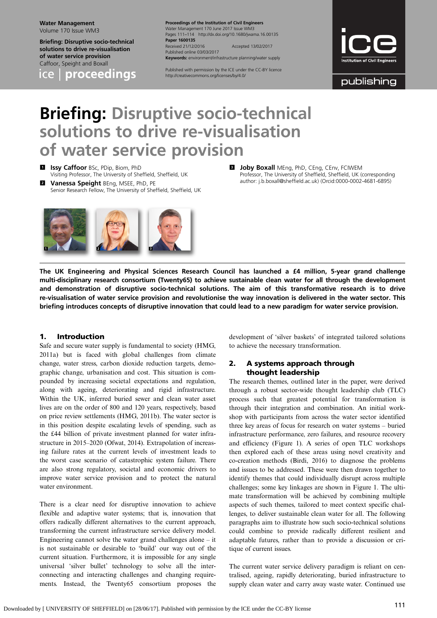Water Management Volume 170 Issue WM3

Briefing: Disruptive socio-technical solutions to drive re-visualisation of water service provision Caffoor, Speight and Boxall

ice proceedings Proceedings of the Institution of Civil Engineers Water Management 170 June 2017 Issue WI Pages 111*–*114 http://dx.doi.org/10.1680/jwama.16.00135 Paper 1600135 Received 21/12/2016 Accepted 13/02/2017 Published online 03/03/2017 Keywords: environment/infrastructure planning/water supply

Published with permission by the ICE under the CC-BY licence <http://creativecommons.org/licenses/by/4.0/>



publishing

# Briefing: Disruptive socio-technical solutions to drive re-visualisation of water service provision

- **Il Issy Caffoor** BSc, PDip, Biom, PhD Visiting Professor, The University of Sheffield, Sheffield, UK
- **2** Vanessa Speight BEng, MSEE, PhD, PE Senior Research Fellow, The University of Sheffield, Sheffield, UK



**B** Joby Boxall MEng, PhD, CEng, CEnv, FCIWEM Professor, The University of Sheffield, Sheffield, UK (corresponding author: [j.b.boxall@sheffield.ac.uk](mailto:j.b.boxall@sheffield.ac.uk)[\) \(Orcid:0000-0002-4681-6895\)](http://orcid.org/0000-0002-4681-6895)

The UK Engineering and Physical Sciences Research Council has launched a £4 million, 5-year grand challenge multi-disciplinary research consortium (Twenty65) to achieve sustainable clean water for all through the development and demonstration of disruptive socio-technical solutions. The aim of this transformative research is to drive re-visualisation of water service provision and revolutionise the way innovation is delivered in the water sector. This briefing introduces concepts of disruptive innovation that could lead to a new paradigm for water service provision.

## 1. Introduction

Safe and secure water supply is fundamental to society [\(HMG,](#page-3-0) [2011a](#page-3-0)) but is faced with global challenges from climate change, water stress, carbon dioxide reduction targets, demographic change, urbanisation and cost. This situation is compounded by increasing societal expectations and regulation, along with ageing, deteriorating and rigid infrastructure. Within the UK, inferred buried sewer and clean water asset lives are on the order of 800 and 120 years, respectively, based on price review settlements [\(HMG, 2011b\)](#page-3-0). The water sector is in this position despite escalating levels of spending, such as the £44 billion of private investment planned for water infrastructure in 2015–2020 ([Ofwat, 2014\)](#page-3-0). Extrapolation of increasing failure rates at the current levels of investment leads to the worst case scenario of catastrophic system failure. There are also strong regulatory, societal and economic drivers to improve water service provision and to protect the natural water environment.

There is a clear need for disruptive innovation to achieve flexible and adaptive water systems; that is, innovation that offers radically different alternatives to the current approach, transforming the current infrastructure service delivery model. Engineering cannot solve the water grand challenges alone – it is not sustainable or desirable to 'build' our way out of the current situation. Furthermore, it is impossible for any single universal 'silver bullet' technology to solve all the interconnecting and interacting challenges and changing requirements. Instead, the Twenty65 consortium proposes the

development of 'silver baskets' of integrated tailored solutions to achieve the necessary transformation.

## 2. A systems approach through thought leadership

The research themes, outlined later in the paper, were derived through a robust sector-wide thought leadership club (TLC) process such that greatest potential for transformation is through their integration and combination. An initial workshop with participants from across the water sector identified three key areas of focus for research on water systems – buried infrastructure performance, zero failures, and resource recovery and efficiency ([Figure 1](#page-1-0)). A series of open TLC workshops then explored each of these areas using novel creativity and co-creation methods [\(Birdi, 2016\)](#page-3-0) to diagnose the problems and issues to be addressed. These were then drawn together to identify themes that could individually disrupt across multiple challenges; some key linkages are shown in [Figure 1.](#page-1-0) The ultimate transformation will be achieved by combining multiple aspects of such themes, tailored to meet context specific challenges, to deliver sustainable clean water for all. The following paragraphs aim to illustrate how such socio-technical solutions could combine to provide radically different resilient and adaptable futures, rather than to provide a discussion or critique of current issues.

The current water service delivery paradigm is reliant on centralised, ageing, rapidly deteriorating, buried infrastructure to supply clean water and carry away waste water. Continued use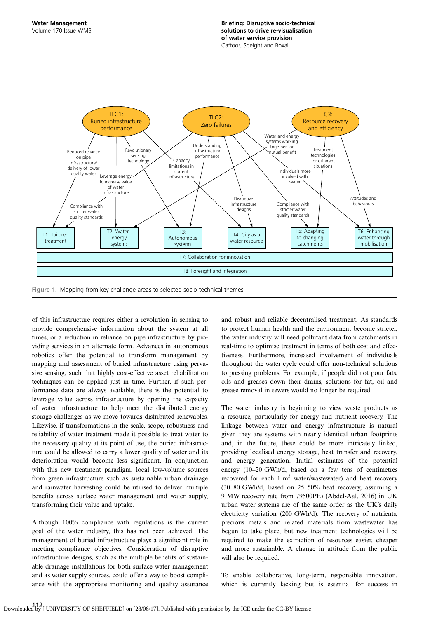Briefing: Disruptive socio-technical solutions to drive re-visualisation of water service provision Caffoor, Speight and Boxall

<span id="page-1-0"></span>

Figure 1. Mapping from key challenge areas to selected socio-technical themes

of this infrastructure requires either a revolution in sensing to provide comprehensive information about the system at all times, or a reduction in reliance on pipe infrastructure by providing services in an alternate form. Advances in autonomous robotics offer the potential to transform management by mapping and assessment of buried infrastructure using pervasive sensing, such that highly cost-effective asset rehabilitation techniques can be applied just in time. Further, if such performance data are always available, there is the potential to leverage value across infrastructure by opening the capacity of water infrastructure to help meet the distributed energy storage challenges as we move towards distributed renewables. Likewise, if transformations in the scale, scope, robustness and reliability of water treatment made it possible to treat water to the necessary quality at its point of use, the buried infrastructure could be allowed to carry a lower quality of water and its deterioration would become less significant. In conjunction with this new treatment paradigm, local low-volume sources from green infrastructure such as sustainable urban drainage and rainwater harvesting could be utilised to deliver multiple benefits across surface water management and water supply, transforming their value and uptake.

Although 100% compliance with regulations is the current goal of the water industry, this has not been achieved. The management of buried infrastructure plays a significant role in meeting compliance objectives. Consideration of disruptive infrastructure designs, such as the multiple benefits of sustainable drainage installations for both surface water management and as water supply sources, could offer a way to boost compliance with the appropriate monitoring and quality assurance and robust and reliable decentralised treatment. As standards to protect human health and the environment become stricter, the water industry will need pollutant data from catchments in real-time to optimise treatment in terms of both cost and effectiveness. Furthermore, increased involvement of individuals throughout the water cycle could offer non-technical solutions to pressing problems. For example, if people did not pour fats, oils and greases down their drains, solutions for fat, oil and grease removal in sewers would no longer be required.

The water industry is beginning to view waste products as a resource, particularly for energy and nutrient recovery. The linkage between water and energy infrastructure is natural given they are systems with nearly identical urban footprints and, in the future, these could be more intricately linked, providing localised energy storage, heat transfer and recovery, and energy generation. Initial estimates of the potential energy (10–20 GWh/d, based on a few tens of centimetres recovered for each  $1 \text{ m}^3$  water/wastewater) and heat recovery (30–80 GWh/d, based on 25–50% heat recovery, assuming a 9 MW recovery rate from 79500PE) [\(Abdel-Aal, 2016\)](#page-3-0) in UK urban water systems are of the same order as the UK's daily electricity variation (200 GWh/d). The recovery of nutrients, precious metals and related materials from wastewater has begun to take place, but new treatment technologies will be required to make the extraction of resources easier, cheaper and more sustainable. A change in attitude from the public will also be required.

To enable collaborative, long-term, responsible innovation, which is currently lacking but is essential for success in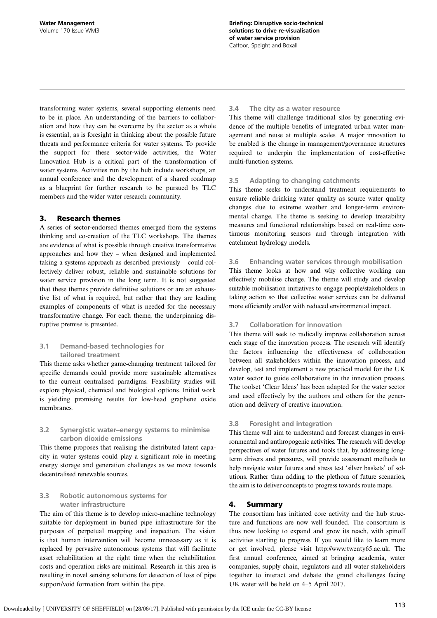Briefing: Disruptive socio-technical solutions to drive re-visualisation of water service provision Caffoor, Speight and Boxall

transforming water systems, several supporting elements need to be in place. An understanding of the barriers to collaboration and how they can be overcome by the sector as a whole is essential, as is foresight in thinking about the possible future threats and performance criteria for water systems. To provide the support for these sector-wide activities, the Water Innovation Hub is a critical part of the transformation of water systems. Activities run by the hub include workshops, an annual conference and the development of a shared roadmap as a blueprint for further research to be pursued by TLC members and the wider water research community.

## 3. Research themes

A series of sector-endorsed themes emerged from the systems thinking and co-creation of the TLC workshops. The themes are evidence of what is possible through creative transformative approaches and how they – when designed and implemented taking a systems approach as described previously – could collectively deliver robust, reliable and sustainable solutions for water service provision in the long term. It is not suggested that these themes provide definitive solutions or are an exhaustive list of what is required, but rather that they are leading examples of components of what is needed for the necessary transformative change. For each theme, the underpinning disruptive premise is presented.

## 3.1 Demand-based technologies for tailored treatment

This theme asks whether game-changing treatment tailored for specific demands could provide more sustainable alternatives to the current centralised paradigms. Feasibility studies will explore physical, chemical and biological options. Initial work is yielding promising results for low-head graphene oxide membranes.

## 3.2 Synergistic water*–*energy systems to minimise carbon dioxide emissions

This theme proposes that realising the distributed latent capacity in water systems could play a significant role in meeting energy storage and generation challenges as we move towards decentralised renewable sources.

## 3.3 Robotic autonomous systems for water infrastructure

The aim of this theme is to develop micro-machine technology suitable for deployment in buried pipe infrastructure for the purposes of perpetual mapping and inspection. The vision is that human intervention will become unnecessary as it is replaced by pervasive autonomous systems that will facilitate asset rehabilitation at the right time when the rehabilitation costs and operation risks are minimal. Research in this area is resulting in novel sensing solutions for detection of loss of pipe support/void formation from within the pipe.

#### 3.4 The city as a water resource

This theme will challenge traditional silos by generating evidence of the multiple benefits of integrated urban water management and reuse at multiple scales. A major innovation to be enabled is the change in management/governance structures required to underpin the implementation of cost-effective multi-function systems.

#### 3.5 Adapting to changing catchments

This theme seeks to understand treatment requirements to ensure reliable drinking water quality as source water quality changes due to extreme weather and longer-term environmental change. The theme is seeking to develop treatability measures and functional relationships based on real-time continuous monitoring sensors and through integration with catchment hydrology models.

#### 3.6 Enhancing water services through mobilisation

This theme looks at how and why collective working can effectively mobilise change. The theme will study and develop suitable mobilisation initiatives to engage people/stakeholders in taking action so that collective water services can be delivered more efficiently and/or with reduced environmental impact.

#### 3.7 Collaboration for innovation

This theme will seek to radically improve collaboration across each stage of the innovation process. The research will identify the factors influencing the effectiveness of collaboration between all stakeholders within the innovation process, and develop, test and implement a new practical model for the UK water sector to guide collaborations in the innovation process. The toolset 'Clear Ideas' has been adapted for the water sector and used effectively by the authors and others for the generation and delivery of creative innovation.

## 3.8 Foresight and integration

This theme will aim to understand and forecast changes in environmental and anthropogenic activities. The research will develop perspectives of water futures and tools that, by addressing longterm drivers and pressures, will provide assessment methods to help navigate water futures and stress test 'silver baskets' of solutions. Rather than adding to the plethora of future scenarios, the aim is to deliver concepts to progress towards route maps.

## 4. Summary

The consortium has initiated core activity and the hub structure and functions are now well founded. The consortium is thus now looking to expand and grow its reach, with spinoff activities starting to progress. If you would like to learn more or get involved, please visit [http://www.twenty65.ac.uk.](http://www.twenty65.ac.uk) The first annual conference, aimed at bringing academia, water companies, supply chain, regulators and all water stakeholders together to interact and debate the grand challenges facing UK water will be held on 4–5 April 2017.